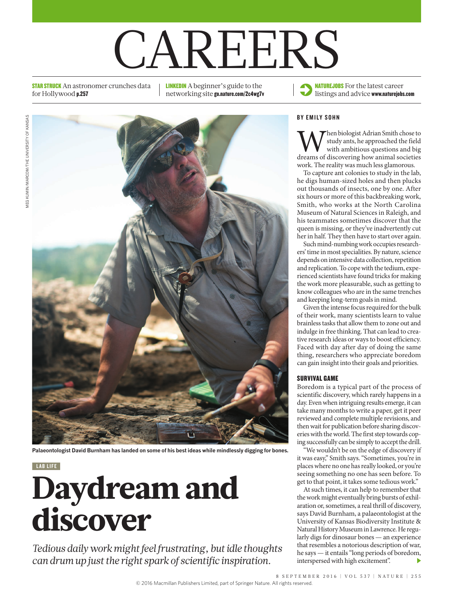# CAREERS

**STAR STRUCK** An astronomer crunches data for Hollywood p.257

LINKEDIN A beginner's guide to the networking site go.nature.com/2c4wg7v



**Palaeontologist David Burnham has landed on some of his best ideas while mindlessly digging for bones.**

#### LAB LIFE

## Daydream and discover

*Tedious daily work might feel frustrating, but idle thoughts can drum up just the right spark of scientific inspiration.*



#### BY EMILY SOHN

**W** study ants, he approached the field with ambitious questions and big dreams of discovering how animal societies study ants, he approached the field with ambitious questions and big work. The reality was much less glamorous.

To capture ant colonies to study in the lab, he digs human-sized holes and then plucks out thousands of insects, one by one. After six hours or more of this backbreaking work, Smith, who works at the North Carolina Museum of Natural Sciences in Raleigh, and his teammates sometimes discover that the queen is missing, or they've inadvertently cut her in half. They then have to start over again.

Such mind-numbing work occupies researchers' time in most specialities. By nature, science depends on intensive data collection, repetition and replication. To cope with the tedium, experienced scientists have found tricks for making the work more pleasurable, such as getting to know colleagues who are in the same trenches and keeping long-term goals in mind.

Given the intense focus required for the bulk of their work, many scientists learn to value brainless tasks that allow them to zone out and indulge in free thinking. That can lead to creative research ideas or ways to boost efficiency. Faced with day after day of doing the same thing, researchers who appreciate boredom can gain insight into their goals and priorities.

#### SURVIVAL GAME

Boredom is a typical part of the process of scientific discovery, which rarely happens in a day. Even when intriguing results emerge, it can take many months to write a paper, get it peer reviewed and complete multiple revisions, and then wait for publication before sharing discoveries with the world. The first step towards coping successfully can be simply to accept the drill.

"We wouldn't be on the edge of discovery if it was easy," Smith says. "Sometimes, you're in places where no one has really looked, or you're seeing something no one has seen before. To get to that point, it takes some tedious work."

At such times, it can help to remember that the work might eventually bring bursts of exhilaration or, sometimes, a real thrill of discovery, says David Burnham, a palaeontologist at the University of Kansas Biodiversity Institute & Natural History Museum in Lawrence. He regularly digs for dinosaur bones — an experience that resembles a notorious description of war, he says — it entails "long periods of boredom, interspersed with high excitement".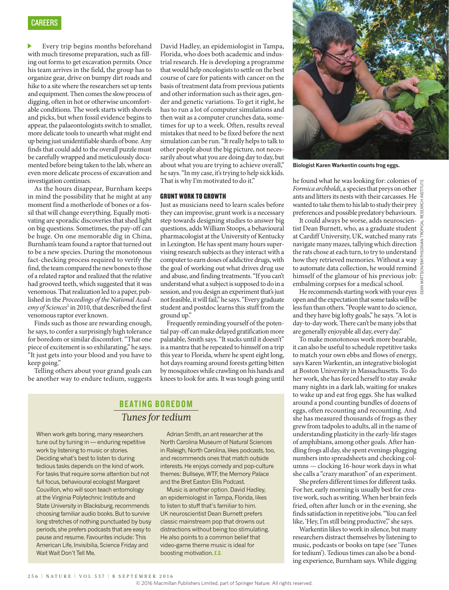Every trip begins months beforehand with much tiresome preparation, such as filling out forms to get excavation permits. Once his team arrives in the field, the group has to organize gear, drive on bumpy dirt roads and hike to a site where the researchers set up tents and equipment. Then comes the slow process of digging, often in hot or otherwise uncomfortable conditions. The work starts with shovels and picks, but when fossil evidence begins to appear, the palaeontologists switch to smaller, more delicate tools to unearth what might end up being just unidentifiable shards of bone. Any finds that could add to the overall puzzle must be carefully wrapped and meticulously documented before being taken to the lab, where an even more delicate process of excavation and investigation continues.

As the hours disappear, Burnham keeps in mind the possibility that he might at any moment find a motherlode of bones or a fossil that will change everything. Equally motivating are sporadic discoveries that shed light on big questions. Sometimes, the pay-off can be huge. On one memorable dig in China, Burnham's team found a raptor that turned out to be a new species. During the monotonous fact-checking process required to verify the find, the team compared the new bones to those of a related raptor and realized that the relative had grooved teeth, which suggested that it was venomous. That realization led to a paper, published in the *Proceedings of the National Acad*e*my of Sciences*<sup>1</sup> in 2010, that described the first venomous raptor ever known.

Finds such as those are rewarding enough, he says, to confer a surprisingly high tolerance for boredom or similar discomfort. "That one piece of excitement is so exhilarating," he says. "It just gets into your blood and you have to keep going."

Telling others about your grand goals can be another way to endure tedium, suggests

David Hadley, an epidemiologist in Tampa, Florida, who does both academic and industrial research. He is developing a programme that would help oncologists to settle on the best course of care for patients with cancer on the basis of treatment data from previous patients and other information such as their ages, gender and genetic variations. To get it right, he has to run a lot of computer simulations and then wait as a computer crunches data, sometimes for up to a week. Often, results reveal mistakes that need to be fixed before the next simulation can be run. "It really helps to talk to other people about the big picture, not necessarily about what you are doing day to day, but about what you are trying to achieve overall," he says. "In my case, it's trying to help sick kids. That is why I'm motivated to do it."

#### GRUNT WORK TO GROWTH

Just as musicians need to learn scales before they can improvise, grunt work is a necessary step towards designing studies to answer big questions, adds William Stoops, a behavioural pharmacologist at the University of Kentucky in Lexington. He has spent many hours supervising research subjects as they interact with a computer to earn doses of addictive drugs, with the goal of working out what drives drug use and abuse, and finding treatments. "If you can't understand what a subject is supposed to do in a session, and you design an experiment that's just not feasible, it will fail," he says. "Every graduate student and postdoc learns this stuff from the ground up."

Frequently reminding yourself of the potential pay-off can make delayed gratification more palatable, Smith says. "It sucks until it doesn't" is a mantra that he repeated to himself on a trip this year to Florida, where he spent eight long, hot days roaming around forests getting bitten by mosquitoes while crawling on his hands and knees to look for ants. It was tough going until

#### BEATING BOREDOM *Tunes for tedium*

When work gets boring, many researchers tune out by tuning in — enduring repetitive work by listening to music or stories. Deciding what's best to listen to during tedious tasks depends on the kind of work. For tasks that require some attention but not full focus, behavioural ecologist Margaret Couvillon, who will soon teach entomology at the Virginia Polytechnic Institute and State University in Blacksburg, recommends choosing familiar audio books. But to survive long stretches of nothing punctuated by busy periods, she prefers podcasts that are easy to pause and resume. Favourites include: This American Life, Invisibilia, Science Friday and Wait Wait Don't Tell Me.

Adrian Smith, an ant researcher at the North Carolina Museum of Natural Sciences in Raleigh, North Carolina, likes podcasts, too, and recommends ones that match outside interests. He enjoys comedy and pop-culture themes: Bullseye, WTF, the Memory Palace and the Bret Easton Ellis Podcast.

Music is another option. David Hadley, an epidemiologist in Tampa, Florida, likes to listen to stuff that's familiar to him. UK neuroscientist Dean Burnett prefers classic mainstream pop that drowns out distractions without being too stimulating. He also points to a common belief that video-game theme music is ideal for boosting motivation. E.S.



**Biologist Karen Warkentin counts frog eggs.**

he found what he was looking for: colonies of *Formica archboldi*, a species that preys on other ants and litters its nests with their carcasses. He wanted to take them to his lab to study their prey  $\frac{1}{2}$ preferences and possible predatory behaviours.

It could always be worse, adds neuroscientist Dean Burnett, who, as a graduate student at Cardiff University, UK, watched many rats navigate many mazes, tallying which direction the rats chose at each turn, to try to understand how they retrieved memories. Without a way to automate data collection, he would remind himself of the glamour of his previous job: embalming corpses for a medical school.

He recommends starting work with your eyes open and the expectation that some tasks will be less fun than others. "People want to do science, and they have big lofty goals," he says. "A lot is day-to-day work. There can't be many jobs that are generally enjoyable all day, every day."

To make monotonous work more bearable, it can also be useful to schedule repetitive tasks to match your own ebbs and flows of energy, says Karen Warkentin, an integrative biologist at Boston University in Massachusetts. To do her work, she has forced herself to stay awake many nights in a dark lab, waiting for snakes to wake up and eat frog eggs. She has walked around a pond counting bundles of dozens of eggs, often recounting and recounting. And she has measured thousands of frogs as they grew from tadpoles to adults, all in the name of understanding plasticity in the early-life stages of amphibians, among other goals. After handling frogs all day, she spent evenings plugging numbers into spreadsheets and checking columns — clocking 16-hour work days in what she calls a "crazy marathon" of an experiment.

She prefers different times for different tasks. For her, early morning is usually best for creative work, such as writing. When her brain feels fried, often after lunch or in the evening, she finds satisfaction in repetitive jobs. "You can feel like, 'Hey, I'm still being productive'," she says.

Warkentin likes to work in silence, but many researchers distract themselves by listening to music, podcasts or books on tape (see 'Tunes for tedium'). Tedious times can also be a bonding experience, Burnham says. While digging